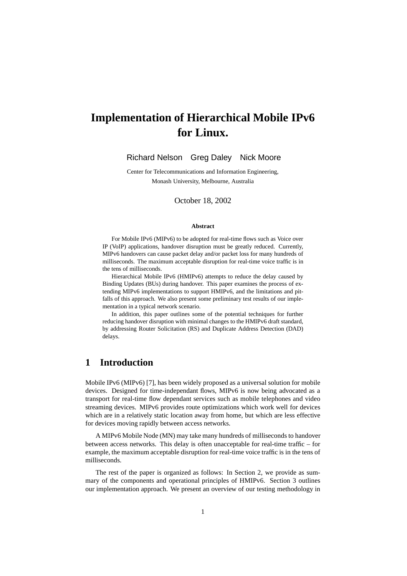# **Implementation of Hierarchical Mobile IPv6 for Linux.**

Richard Nelson Greg Daley Nick Moore

Center for Telecommunications and Information Engineering, Monash University, Melbourne, Australia

October 18, 2002

#### **Abstract**

For Mobile IPv6 (MIPv6) to be adopted for real-time flows such as Voice over IP (VoIP) applications, handover disruption must be greatly reduced. Currently, MIPv6 handovers can cause packet delay and/or packet loss for many hundreds of milliseconds. The maximum acceptable disruption for real-time voice traffic is in the tens of milliseconds.

Hierarchical Mobile IPv6 (HMIPv6) attempts to reduce the delay caused by Binding Updates (BUs) during handover. This paper examines the process of extending MIPv6 implementations to support HMIPv6, and the limitations and pitfalls of this approach. We also present some preliminary test results of our implementation in a typical network scenario.

In addition, this paper outlines some of the potential techniques for further reducing handover disruption with minimal changes to the HMIPv6 draft standard, by addressing Router Solicitation (RS) and Duplicate Address Detection (DAD) delays.

# **1 Introduction**

Mobile IPv6 (MIPv6) [7], has been widely proposed as a universal solution for mobile devices. Designed for time-independant flows, MIPv6 is now being advocated as a transport for real-time flow dependant services such as mobile telephones and video streaming devices. MIPv6 provides route optimizations which work well for devices which are in a relatively static location away from home, but which are less effective for devices moving rapidly between access networks.

A MIPv6 Mobile Node (MN) may take many hundreds of milliseconds to handover between access networks. This delay is often unacceptable for real-time traffic – for example, the maximum acceptable disruption for real-time voice traffic is in the tens of milliseconds.

The rest of the paper is organized as follows: In Section 2, we provide as summary of the components and operational principles of HMIPv6. Section 3 outlines our implementation approach. We present an overview of our testing methodology in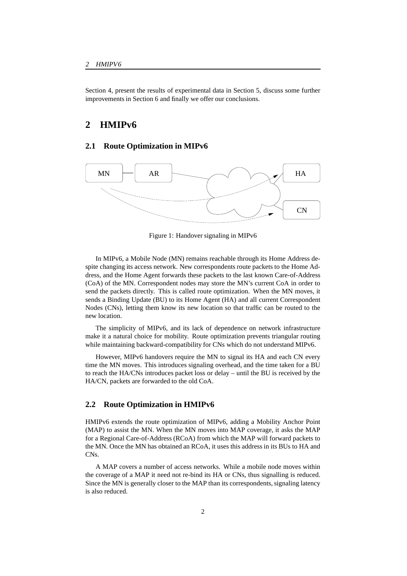Section 4, present the results of experimental data in Section 5, discuss some further improvements in Section 6 and finally we offer our conclusions.

# **2 HMIPv6**

### **2.1 Route Optimization in MIPv6**



Figure 1: Handover signaling in MIPv6

In MIPv6, a Mobile Node (MN) remains reachable through its Home Address despite changing its access network. New correspondents route packets to the Home Address, and the Home Agent forwards these packets to the last known Care-of-Address (CoA) of the MN. Correspondent nodes may store the MN's current CoA in order to send the packets directly. This is called route optimization. When the MN moves, it sends a Binding Update (BU) to its Home Agent (HA) and all current Correspondent Nodes (CNs), letting them know its new location so that traffic can be routed to the new location.

The simplicity of MIPv6, and its lack of dependence on network infrastructure make it a natural choice for mobility. Route optimization prevents triangular routing while maintaining backward-compatibility for CNs which do not understand MIPv6.

However, MIPv6 handovers require the MN to signal its HA and each CN every time the MN moves. This introduces signaling overhead, and the time taken for a BU to reach the HA/CNs introduces packet loss or delay – until the BU is received by the HA/CN, packets are forwarded to the old CoA.

#### **2.2 Route Optimization in HMIPv6**

HMIPv6 extends the route optimization of MIPv6, adding a Mobility Anchor Point (MAP) to assist the MN. When the MN moves into MAP coverage, it asks the MAP for a Regional Care-of-Address (RCoA) from which the MAP will forward packets to the MN. Once the MN has obtained an RCoA, it uses this address in its BUs to HA and CNs.

A MAP covers a number of access networks. While a mobile node moves within the coverage of a MAP it need not re-bind its HA or CNs, thus signalling is reduced. Since the MN is generally closer to the MAP than its correspondents, signaling latency is also reduced.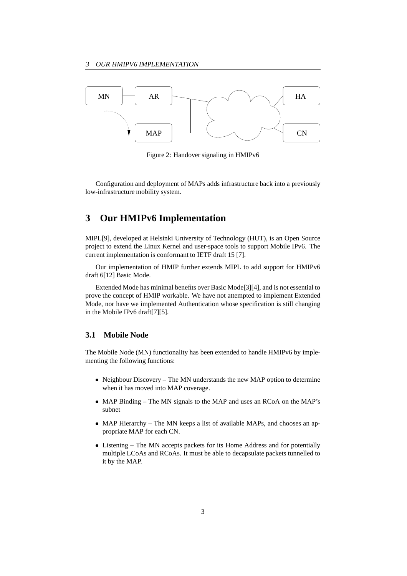

Figure 2: Handover signaling in HMIPv6

Configuration and deployment of MAPs adds infrastructure back into a previously low-infrastructure mobility system.

# **3 Our HMIPv6 Implementation**

MIPL[9], developed at Helsinki University of Technology (HUT), is an Open Source project to extend the Linux Kernel and user-space tools to support Mobile IPv6. The current implementation is conformant to IETF draft 15 [7].

Our implementation of HMIP further extends MIPL to add support for HMIPv6 draft 6[12] Basic Mode.

Extended Mode has minimal benefits over Basic Mode[3][4], and is not essential to prove the concept of HMIP workable. We have not attempted to implement Extended Mode, nor have we implemented Authentication whose specification is still changing in the Mobile IPv6 draft[7][5].

### **3.1 Mobile Node**

The Mobile Node (MN) functionality has been extended to handle HMIPv6 by implementing the following functions:

- Neighbour Discovery The MN understands the new MAP option to determine when it has moved into MAP coverage.
- MAP Binding The MN signals to the MAP and uses an RCoA on the MAP's subnet
- MAP Hierarchy The MN keeps a list of available MAPs, and chooses an appropriate MAP for each CN.
- Listening The MN accepts packets for its Home Address and for potentially multiple LCoAs and RCoAs. It must be able to decapsulate packets tunnelled to it by the MAP.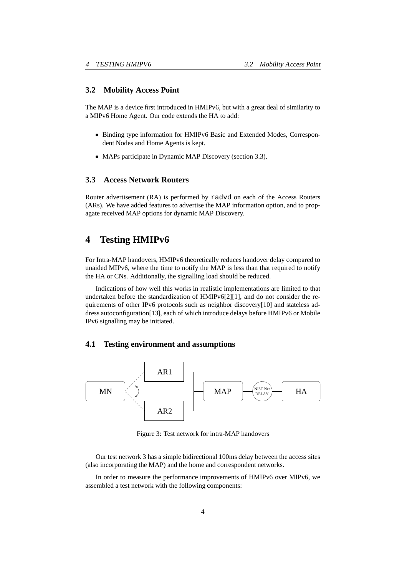#### **3.2 Mobility Access Point**

The MAP is a device first introduced in HMIPv6, but with a great deal of similarity to a MIPv6 Home Agent. Our code extends the HA to add:

- Binding type information for HMIPv6 Basic and Extended Modes, Correspondent Nodes and Home Agents is kept.
- MAPs participate in Dynamic MAP Discovery (section 3.3).

### **3.3 Access Network Routers**

Router advertisement (RA) is performed by radvd on each of the Access Routers (ARs). We have added features to advertise the MAP information option, and to propagate received MAP options for dynamic MAP Discovery.

# **4 Testing HMIPv6**

For Intra-MAP handovers, HMIPv6 theoretically reduces handover delay compared to unaided MIPv6, where the time to notify the MAP is less than that required to notify the HA or CNs. Additionally, the signalling load should be reduced.

Indications of how well this works in realistic implementations are limited to that undertaken before the standardization of HMIPv6[2][1], and do not consider the requirements of other IPv6 protocols such as neighbor discovery[10] and stateless address autoconfiguration[13], each of which introduce delays before HMIPv6 or Mobile IPv6 signalling may be initiated.

### **4.1 Testing environment and assumptions**



Figure 3: Test network for intra-MAP handovers

Our test network 3 has a simple bidirectional 100ms delay between the access sites (also incorporating the MAP) and the home and correspondent networks.

In order to measure the performance improvements of HMIPv6 over MIPv6, we assembled a test network with the following components: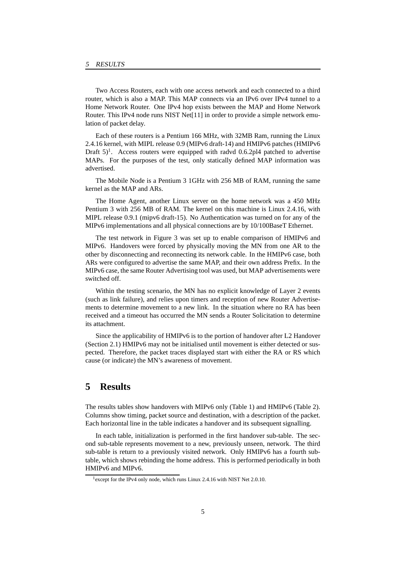Two Access Routers, each with one access network and each connected to a third router, which is also a MAP. This MAP connects via an IPv6 over IPv4 tunnel to a Home Network Router. One IPv4 hop exists between the MAP and Home Network Router. This IPv4 node runs NIST Net[11] in order to provide a simple network emulation of packet delay.

Each of these routers is a Pentium 166 MHz, with 32MB Ram, running the Linux 2.4.16 kernel, with MIPL release 0.9 (MIPv6 draft-14) and HMIPv6 patches (HMIPv6 Draft  $5$ <sup>1</sup>. Access routers were equipped with radvd 0.6.2pl4 patched to advertise MAPs. For the purposes of the test, only statically defined MAP information was advertised.

The Mobile Node is a Pentium 3 1GHz with 256 MB of RAM, running the same kernel as the MAP and ARs.

The Home Agent, another Linux server on the home network was a 450 MHz Pentium 3 with 256 MB of RAM. The kernel on this machine is Linux 2.4.16, with MIPL release 0.9.1 (mipv6 draft-15). No Authentication was turned on for any of the MIPv6 implementations and all physical connections are by 10/100BaseT Ethernet.

The test network in Figure 3 was set up to enable comparison of HMIPv6 and MIPv6. Handovers were forced by physically moving the MN from one AR to the other by disconnecting and reconnecting its network cable. In the HMIPv6 case, both ARs were configured to advertise the same MAP, and their own address Prefix. In the MIPv6 case, the same Router Advertising tool was used, but MAP advertisements were switched off.

Within the testing scenario, the MN has no explicit knowledge of Layer 2 events (such as link failure), and relies upon timers and reception of new Router Advertisements to determine movement to a new link. In the situation where no RA has been received and a timeout has occurred the MN sends a Router Solicitation to determine its attachment.

Since the applicability of HMIPv6 is to the portion of handover after L2 Handover (Section 2.1) HMIPv6 may not be initialised until movement is either detected or suspected. Therefore, the packet traces displayed start with either the RA or RS which cause (or indicate) the MN's awareness of movement.

### **5 Results**

The results tables show handovers with MIPv6 only (Table 1) and HMIPv6 (Table 2). Columns show timing, packet source and destination, with a description of the packet. Each horizontal line in the table indicates a handover and its subsequent signalling.

In each table, initialization is performed in the first handover sub-table. The second sub-table represents movement to a new, previously unseen, network. The third sub-table is return to a previously visited network. Only HMIPv6 has a fourth subtable, which shows rebinding the home address. This is performed periodically in both HMIPv6 and MIPv6.

<sup>&</sup>lt;sup>1</sup> except for the IPv4 only node, which runs Linux 2.4.16 with NIST Net 2.0.10.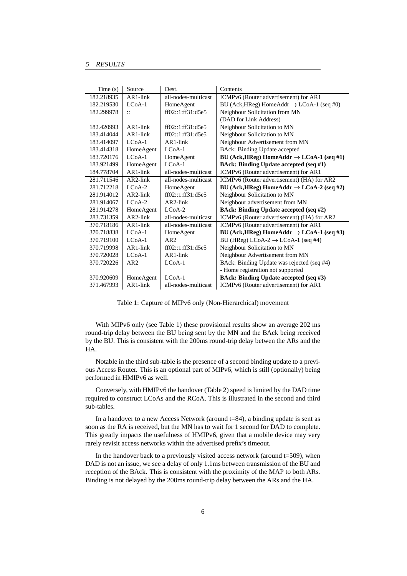| Time(s)    | Source          | Dest.               | Contents                                              |
|------------|-----------------|---------------------|-------------------------------------------------------|
| 182.218935 | $AR1$ -link     | all-nodes-multicast | ICMPv6 (Router advertisement) for AR1                 |
| 182.219530 | $LC0A-1$        | HomeAgent           | BU (Ack, HReg) HomeAddr $\rightarrow$ LCoA-1 (seq #0) |
| 182.299978 | $\vdots$        | ff02::1:ff31:d5e5   | Neighbour Solicitation from MN                        |
|            |                 |                     | (DAD for Link Address)                                |
| 182.420993 | $AR1$ -link     | ff02::1:ff31:d5e5   | Neighbour Solicitation to MN                          |
| 183.414044 | $AR1$ -link     | ff02::1:ff31:d5e5   | Neighbour Solicitation to MN                          |
| 183.414097 | $LCoA-1$        | $AR1$ -link         | Neighbour Advertisement from MN                       |
| 183.414318 | HomeAgent       | $LCoA-1$            | BAck: Binding Update accepted                         |
| 183.720176 | $LCoA-1$        | HomeAgent           | BU (Ack, HReg) HomeAddr $\rightarrow$ LCoA-1 (seq #1) |
| 183.921499 | HomeAgent       | $LCoA-1$            | <b>BAck: Binding Update accepted (seq #1)</b>         |
| 184.778704 | $AR1$ -link     | all-nodes-multicast | ICMPv6 (Router advertisement) for AR1                 |
| 281.711546 | $AR2$ -link     | all-nodes-multicast | ICMPv6 (Router advertisement) (HA) for AR2            |
| 281.712218 | $LCoA-2$        | HomeAgent           | BU (Ack, HReg) HomeAddr $\rightarrow$ LCoA-2 (seq #2) |
| 281.914012 | $AR2$ -link     | ff02::1:ff31:d5e5   | Neighbour Solicitation to MN                          |
| 281.914067 | $LCoA-2$        | $AR2$ -link         | Neighbour advertisement from MN                       |
| 281.914278 | HomeAgent       | $LCoA-2$            | <b>BAck: Binding Update accepted (seq #2)</b>         |
| 283.731359 | $AR2$ -link     | all-nodes-multicast | ICMPv6 (Router advertisement) (HA) for AR2            |
| 370.718186 | $AR1$ -link     | all-nodes-multicast | ICMPv6 (Router advertisement) for AR1                 |
| 370.718838 | $LC0A-1$        | HomeAgent           | BU (Ack, HReg) HomeAddr $\rightarrow$ LCoA-1 (seq #3) |
| 370.719100 | $LC0A-1$        | AR2                 | BU (HReg) LCoA-2 $\rightarrow$ LCoA-1 (seq #4)        |
| 370.719998 | $AR1$ -link     | ff02::1:ff31:d5e5   | Neighbour Solicitation to MN                          |
| 370.720028 | $LCoA-1$        | $AR1$ -link         | Neighbour Advertisement from MN                       |
| 370.720226 | AR <sub>2</sub> | $LCoA-1$            | BAck: Binding Update was rejected (seq #4)            |
|            |                 |                     | - Home registration not supported                     |
| 370.920609 | HomeAgent       | $LCoA-1$            | <b>BAck: Binding Update accepted (seq #3)</b>         |
| 371.467993 | $AR1$ -link     | all-nodes-multicast | ICMPv6 (Router advertisement) for AR1                 |

Table 1: Capture of MIPv6 only (Non-Hierarchical) movement

With MIPv6 only (see Table 1) these provisional results show an average 202 ms round-trip delay between the BU being sent by the MN and the BAck being received by the BU. This is consistent with the 200ms round-trip delay betwen the ARs and the HA.

Notable in the third sub-table is the presence of a second binding update to a previous Access Router. This is an optional part of MIPv6, which is still (optionally) being performed in HMIPv6 as well.

Conversely, with HMIPv6 the handover (Table 2) speed is limited by the DAD time required to construct LCoAs and the RCoA. This is illustrated in the second and third sub-tables.

In a handover to a new Access Network (around  $t=84$ ), a binding update is sent as soon as the RA is received, but the MN has to wait for 1 second for DAD to complete. This greatly impacts the usefulness of HMIPv6, given that a mobile device may very rarely revisit access networks within the advertised prefix's timeout.

In the handover back to a previously visited access network (around  $t=509$ ), when DAD is not an issue, we see a delay of only 1.1ms between transmission of the BU and reception of the BAck. This is consistent with the proximity of the MAP to both ARs. Binding is not delayed by the 200ms round-trip delay between the ARs and the HA.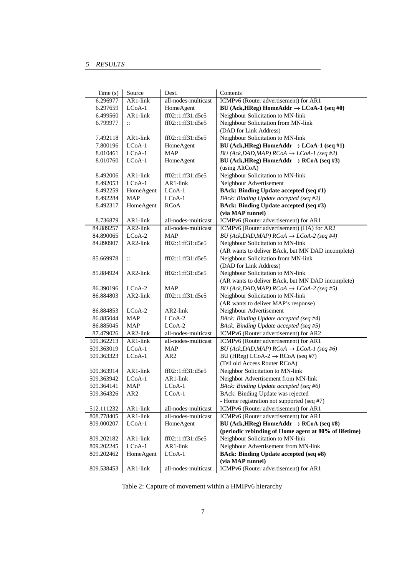| Time(s)                  | Source                        | Dest.                                      | Contents                                                                                                     |
|--------------------------|-------------------------------|--------------------------------------------|--------------------------------------------------------------------------------------------------------------|
| 6.296977                 | AR1-link                      | all-nodes-multicast                        | ICMPv6 (Router advertisement) for AR1                                                                        |
| 6.297659                 | $LCoA-1$                      | HomeAgent                                  | BU (Ack, HReg) HomeAddr $\rightarrow$ LCoA-1 (seq #0)                                                        |
| 6.499560                 | AR1-link                      | ff02::1:ff31:d5e5                          | Neighbour Solicitation to MN-link                                                                            |
| 6.799977                 | $\ddot{\mathbf{u}}$           | ff02::1:ff31:d5e5                          | Neighbour Solicitation from MN-link                                                                          |
|                          |                               |                                            | (DAD for Link Address)                                                                                       |
| 7.492118                 | AR1-link                      | ff02::1:ff31:d5e5                          | Neighbour Solicitation to MN-link                                                                            |
| 7.800196                 | $LCoA-1$                      | HomeAgent                                  | BU (Ack, HReg) HomeAddr $\rightarrow$ LCoA-1 (seq #1)                                                        |
| 8.010461                 | $LCoA-1$                      | <b>MAP</b>                                 | BU (Ack, DAD, MAP) $RCoA \rightarrow LCoA-I$ (seq #2)                                                        |
| 8.010760                 | $LCoA-1$                      | HomeAgent                                  | BU (Ack, HReg) HomeAddr $\rightarrow$ RCoA (seq #3)                                                          |
|                          |                               |                                            | (using AltCoA)                                                                                               |
| 8.492006                 | AR1-link                      | ff02::1:ff31:d5e5                          | Neighbour Solicitation to MN-link                                                                            |
| 8.492053                 | $LCoA-1$                      | AR1-link                                   | Neighbour Advertisement                                                                                      |
| 8.492259                 | HomeAgent                     | $LCoA-1$                                   | <b>BAck: Binding Update accepted (seq #1)</b>                                                                |
| 8.492284                 | <b>MAP</b>                    | $LCoA-1$                                   | BAck: Binding Update accepted (seq #2)                                                                       |
| 8.492317                 | HomeAgent                     | <b>RCoA</b>                                | <b>BAck: Binding Update accepted (seq #3)</b>                                                                |
|                          |                               |                                            | (via MAP tunnel)                                                                                             |
| 8.736879                 | AR1-link                      | all-nodes-multicast                        | ICMPv6 (Router advertisement) for AR1                                                                        |
| 84.889257                | AR2-link                      | all-nodes-multicast                        | ICMPv6 (Router advertisement) (HA) for AR2                                                                   |
| 84.890065                | $LCoA-2$                      | MAP                                        | BU (Ack, DAD, MAP) $RCoA \rightarrow LCoA-2$ (seq #4)                                                        |
| 84.890907                | AR2-link                      | ff02::1:ff31:d5e5                          | Neighbour Solicitation to MN-link                                                                            |
|                          |                               |                                            | (AR wants to deliver BAck, but MN DAD incomplete)                                                            |
| 85.669978                | $\ddot{\ddot{\phantom{.}}}\,$ | ff02::1:ff31:d5e5                          | Neighbour Solicitation from MN-link                                                                          |
|                          |                               |                                            | (DAD for Link Address)                                                                                       |
| 85.884924                | AR2-link                      | ff02::1:ff31:d5e5                          | Neighbour Solicitation to MN-link                                                                            |
|                          |                               |                                            | (AR wants to deliver BAck, but MN DAD incomplete)                                                            |
| 86.390196                | $LCoA-2$                      | <b>MAP</b>                                 | BU (Ack, DAD, MAP) $RCoA \rightarrow LCoA-2$ (seq #5)                                                        |
| 86.884803                | AR2-link                      | ff02::1:ff31:d5e5                          | Neighbour Solicitation to MN-link                                                                            |
|                          |                               |                                            | (AR wants to deliver MAP's response)                                                                         |
| 86.884853                | LCoA-2                        | AR2-link                                   | Neighbour Advertisement                                                                                      |
| 86.885044                | <b>MAP</b>                    | $LCoA-2$                                   | BAck: Binding Update accepted (seq #4)                                                                       |
| 86.885045                | MAP                           | $_{\text{LCoA-2}}$                         | BAck: Binding Update accepted (seq #5)                                                                       |
| 87.479026                | AR2-link                      | all-nodes-multicast                        | ICMPv6 (Router advertisement) for AR2                                                                        |
| 509.362213               | AR1-link                      | all-nodes-multicast                        | ICMPv6 (Router advertisement) for AR1                                                                        |
| 509.363019               | $LCoA-1$                      | MAP                                        | BU (Ack, DAD, MAP) $RCoA \rightarrow LCoA-I$ (seq #6)                                                        |
| 509.363323               | $LCoA-1$                      | AR <sub>2</sub>                            | BU (HReg) LCoA-2 $\rightarrow$ RCoA (seq #7)                                                                 |
|                          |                               |                                            | (Tell old Access Router RCoA)                                                                                |
| 509.363914               | AR1-link                      | ff02::1:ff31:d5e5                          | Neighbor Solicitation to MN-link                                                                             |
| 509.363942               | $LCoA-1$                      | AR1-link                                   | Neighbor Advertisement from MN-link                                                                          |
| 509.364141               | MAP                           | LCoA-1                                     | BAck: Binding Update accepted (seq #6)                                                                       |
| 509.364326               | AR <sub>2</sub>               | LCoA-1                                     | BAck: Binding Update was rejected                                                                            |
|                          |                               |                                            | - Home registration not supported (seq #7)<br>ICMPv6 (Router advertisement) for AR1                          |
| 512.111232               | AR1-link<br>AR1-link          | all-nodes-multicast<br>all-nodes-multicast |                                                                                                              |
| 808.778405               |                               |                                            | ICMPv6 (Router advertisement) for AR1                                                                        |
| 809.000207               | LCoA-1                        | HomeAgent                                  | BU (Ack, HReg) HomeAddr $\rightarrow$ RCoA (seq #8)<br>(periodic rebinding of Home agent at 80% of lifetime) |
|                          |                               |                                            | Neighbour Solicitation to MN-link                                                                            |
| 809.202182               | AR1-link<br>$LCoA-1$          | ff02::1:ff31:d5e5                          | Neighbour Advertisement from MN-link                                                                         |
| 809.202245<br>809.202462 |                               | AR1-link<br>$LCoA-1$                       | <b>BAck: Binding Update accepted (seq #8)</b>                                                                |
|                          | HomeAgent                     |                                            | (via MAP tunnel)                                                                                             |
| 809.538453               | AR1-link                      | all-nodes-multicast                        | ICMPv6 (Router advertisement) for AR1                                                                        |
|                          |                               |                                            |                                                                                                              |

Table 2: Capture of movement within a HMIPv6 hierarchy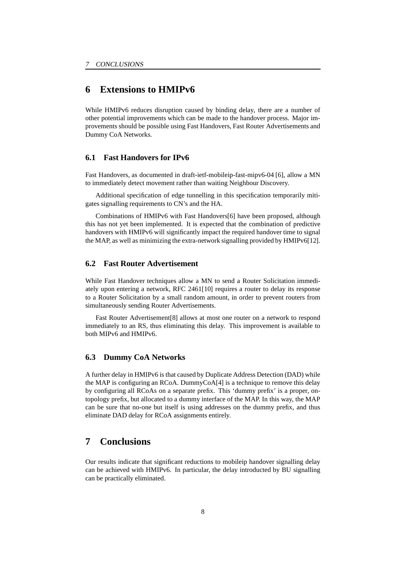# **6 Extensions to HMIPv6**

While HMIPv6 reduces disruption caused by binding delay, there are a number of other potential improvements which can be made to the handover process. Major improvements should be possible using Fast Handovers, Fast Router Advertisements and Dummy CoA Networks.

### **6.1 Fast Handovers for IPv6**

Fast Handovers, as documented in draft-ietf-mobileip-fast-mipv6-04 [6], allow a MN to immediately detect movement rather than waiting Neighbour Discovery.

Additional specification of edge tunnelling in this specification temporarily mitigates signalling requirements to CN's and the HA.

Combinations of HMIPv6 with Fast Handovers[6] have been proposed, although this has not yet been implemented. It is expected that the combination of predictive handovers with HMIPv6 will significantly impact the required handover time to signal the MAP, as well as minimizing the extra-network signalling provided by HMIPv6[12].

### **6.2 Fast Router Advertisement**

While Fast Handover techniques allow a MN to send a Router Solicitation immediately upon entering a network, RFC 2461[10] requires a router to delay its response to a Router Solicitation by a small random amount, in order to prevent routers from simultaneously sending Router Advertisements.

Fast Router Advertisement[8] allows at most one router on a network to respond immediately to an RS, thus eliminating this delay. This improvement is available to both MIPv6 and HMIPv6.

### **6.3 Dummy CoA Networks**

A further delay in HMIPv6 is that caused by Duplicate Address Detection (DAD) while the MAP is configuring an RCoA. DummyCoA[4] is a technique to remove this delay by configuring all RCoAs on a separate prefix. This 'dummy prefix' is a proper, ontopology prefix, but allocated to a dummy interface of the MAP. In this way, the MAP can be sure that no-one but itself is using addresses on the dummy prefix, and thus eliminate DAD delay for RCoA assignments entirely.

## **7 Conclusions**

Our results indicate that significant reductions to mobileip handover signalling delay can be achieved with HMIPv6. In particular, the delay introducted by BU signalling can be practically eliminated.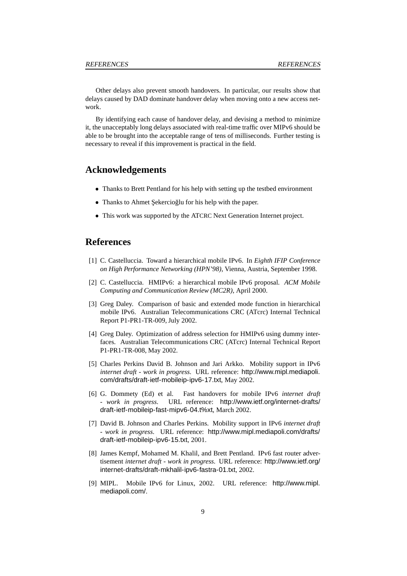Other delays also prevent smooth handovers. In particular, our results show that delays caused by DAD dominate handover delay when moving onto a new access network.

By identifying each cause of handover delay, and devising a method to minimize it, the unacceptably long delays associated with real-time traffic over MIPv6 should be able to be brought into the acceptable range of tens of milliseconds. Further testing is necessary to reveal if this improvement is practical in the field.

### **Acknowledgements**

- Thanks to Brett Pentland for his help with setting up the testbed environment
- Thanks to Ahmet Şekercioğlu for his help with the paper.
- This work was supported by the ATCRC Next Generation Internet project.

## **References**

- [1] C. Castelluccia. Toward a hierarchical mobile IPv6. In *Eighth IFIP Conference on High Performance Networking (HPN'98)*, Vienna, Austria, September 1998.
- [2] C. Castelluccia. HMIPv6: a hierarchical mobile IPv6 proposal. *ACM Mobile Computing and Communication Review (MC2R)*, April 2000.
- [3] Greg Daley. Comparison of basic and extended mode function in hierarchical mobile IPv6. Australian Telecommunications CRC (ATcrc) Internal Technical Report P1-PR1-TR-009, July 2002.
- [4] Greg Daley. Optimization of address selection for HMIPv6 using dummy interfaces. Australian Telecommunications CRC (ATcrc) Internal Technical Report P1-PR1-TR-008, May 2002.
- [5] Charles Perkins David B. Johnson and Jari Arkko. Mobility support in IPv6 *internet draft - work in progress*. URL reference: http://www.mipl.mediapoli. com/drafts/draft-ietf-mobileip-ipv6-17.txt, May 2002.
- [6] G. Dommety (Ed) et al. Fast handovers for mobile IPv6 *internet draft - work in progress*. URL reference: http://www.ietf.org/internet-drafts/ draft-ietf-mobileip-fast-mipv6-04.t%xt, March 2002.
- [7] David B. Johnson and Charles Perkins. Mobility support in IPv6 *internet draft - work in progress*. URL reference: http://www.mipl.mediapoli.com/drafts/ draft-ietf-mobileip-ipv6-15.txt, 2001.
- [8] James Kempf, Mohamed M. Khalil, and Brett Pentland. IPv6 fast router advertisement *internet draft - work in progress*. URL reference: http://www.ietf.org/ internet-drafts/draft-mkhalil-ipv6-fastra-01.txt, 2002.
- [9] MIPL. Mobile IPv6 for Linux, 2002. URL reference: http://www.mipl. mediapoli.com/.